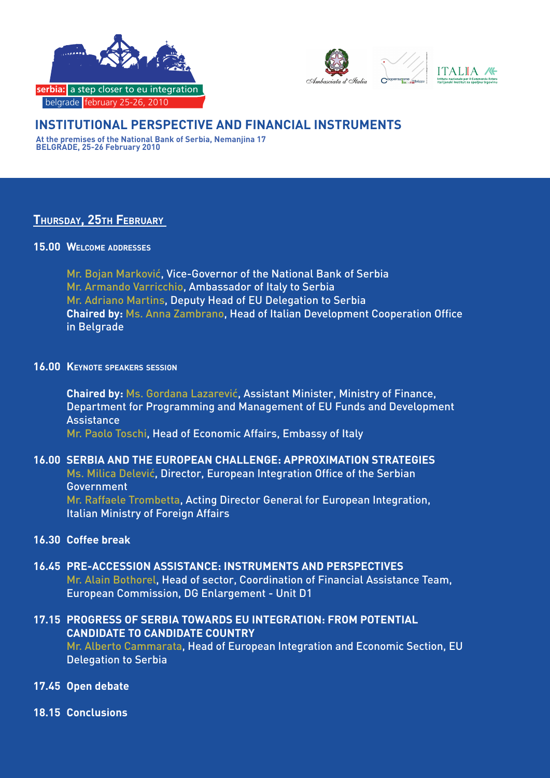



## **INSTITUTIONAL PERSPECTIVE AND FINANCIAL INSTRUMENTS**

**At the premises of the National Bank of Serbia, Nemanjina 17 BELGRADE, 25-26 February 2010**

## **Thursday, 25th February**

#### **15.00 Welcome addresses**

Mr. Bojan Marković, Vice-Governor of the National Bank of Serbia Mr. Armando Varricchio, Ambassador of Italy to Serbia Mr. Adriano Martins, Deputy Head of EU Delegation to Serbia **Chaired by:** Ms. Anna Zambrano, Head of Italian Development Cooperation Office in Belgrade

#### **16.00 Keynote speakers session**

**Chaired by:** Ms. Gordana Lazarević, Assistant Minister, Ministry of Finance, Department for Programming and Management of EU Funds and Development **Assistance** Mr. Paolo Toschi, Head of Economic Affairs, Embassy of Italy

# **16.00 SERBIA AND THE EUROPEAN CHALLENGE: APPROXIMATION STRATEGIES**

Ms. Milica Delević, Director, European Integration Office of the Serbian Government Mr. Raffaele Trombetta, Acting Director General for European Integration,

Italian Ministry of Foreign Affairs

## **16.30 Coffee break**

## **16.45 PRE-ACCESSION ASSISTANCE: INSTRUMENTS AND PERSPECTIVES**

Mr. Alain Bothorel, Head of sector, Coordination of Financial Assistance Team, European Commission, DG Enlargement - Unit D1

## **17.15 PROGRESS OF SERBIA TOWARDS EU INTEGRATION: FROM POTENTIAL CANDIDATE TO CANDIDATE COUNTRY**

Mr. Alberto Cammarata, Head of European Integration and Economic Section, EU Delegation to Serbia

- **17.45 Open debate**
- **18.15 Conclusions**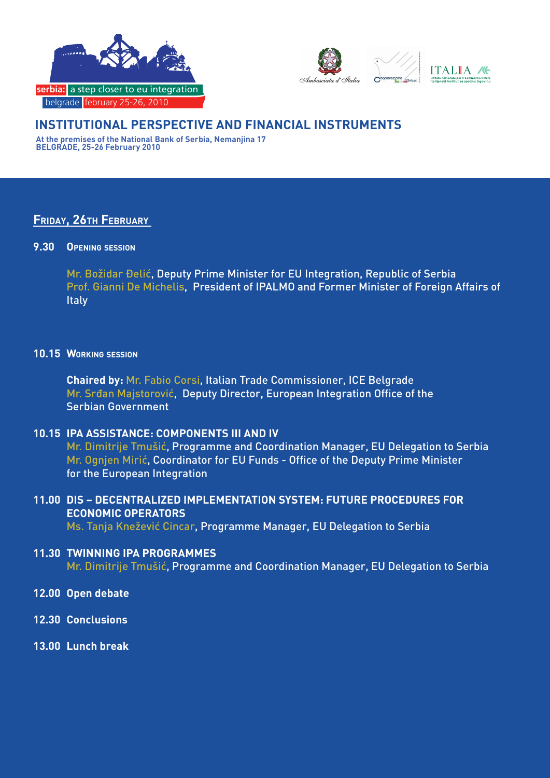



## **INSTITUTIONAL PERSPECTIVE AND FINANCIAL INSTRUMENTS**

**At the premises of the National Bank of Serbia, Nemanjina 17 BELGRADE, 25-26 February 2010**

## **Friday, 26th February**

#### **9.30 Opening session**

Mr. Božidar Đelić, Deputy Prime Minister for EU Integration, Republic of Serbia Prof. Gianni De Michelis, President of IPALMO and Former Minister of Foreign Affairs of **Italy** 

#### **10.15 Working session**

**Chaired by:** Mr. Fabio Corsi, Italian Trade Commissioner, ICE Belgrade Mr. Srđan Majstorović, Deputy Director, European Integration Office of the Serbian Government

## **10.15 IPA ASSISTANCE: COMPONENTS III AND IV**

Mr. Dimitrije Tmušić, Programme and Coordination Manager, EU Delegation to Serbia Mr. Ognjen Mirić, Coordinator for EU Funds - Office of the Deputy Prime Minister for the European Integration

## **11.00 DIS – DECENTRALIZED IMPLEMENTATION SYSTEM: FUTURE PROCEDURES FOR ECONOMIC OPERATORS**

Ms. Tanja Knežević Cincar, Programme Manager, EU Delegation to Serbia

## **11.30 TWINNING IPA PROGRAMMES**

Mr. Dimitrije Tmušić, Programme and Coordination Manager, EU Delegation to Serbia

- **12.00 Open debate**
- **12.30 Conclusions**
- **13.00 Lunch break**